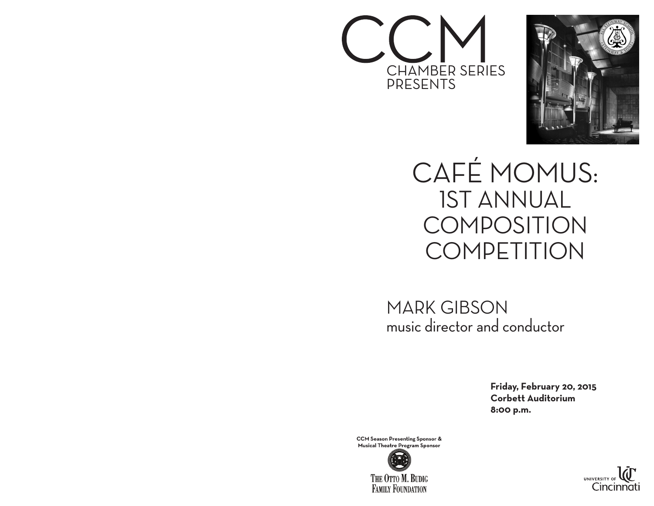



CAFÉ MOMUS: 1ST ANNUAL COMPOSITION **COMPETITION** 

MARK GIBSON music director and conductor

> **Friday, February 20, 2015 Corbett Auditorium 8:00 p.m.**

**CCM Season Presenting Sponsor & Musical Theatre Program Sponsor**